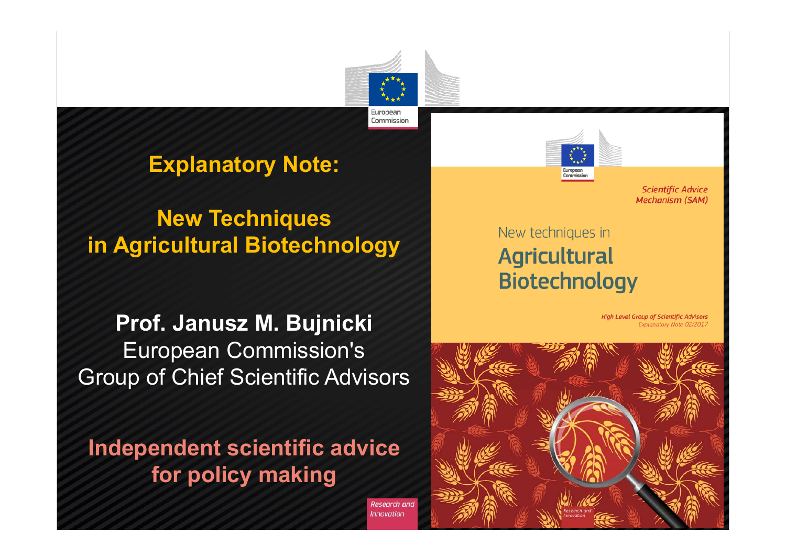

Research and Innovation

#### **Explanatory Note:**

### **New Techniques in Agricultural Biotechnology**

#### **Prof. Janusz M. Bujnicki** European Commission's Group of Chief Scientific Advisors

**Independent scientific advice for policy making**



**Scientific Advice Mechanism (SAM)** 

#### New techniques in **Agricultural Biotechnology**

High Level Group of Scientific Advisors Explanatory Note 02/2017

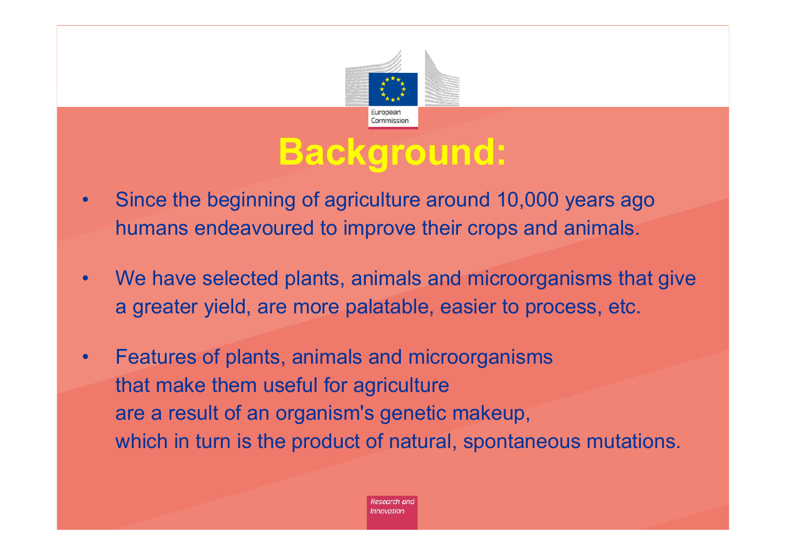

# **Background:**

- • Since the beginning of agriculture around 10,000 years ago humans endeavoured to improve their crops and animals.
- • We have selected plants, animals and microorganisms that give a greater yield, are more palatable, easier to process, etc.
- • Features of plants, animals and microorganisms that make them useful for agriculture are a result of an organism's genetic makeup, which in turn is the product of natural, spontaneous mutations.

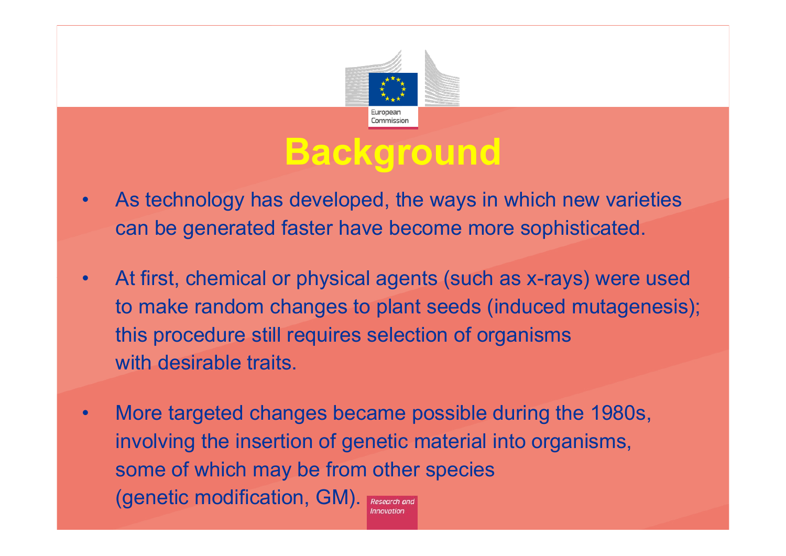

### **Background**

- • As technology has developed, the ways in which new varieties can be generated faster have become more sophisticated.
- • At first, chemical or physical agents (such as x-rays) were used to make random changes to plant seeds (induced mutagenesis); this procedure still requires selection of organisms with desirable traits.
- • More targeted changes became possible during the 1980s, involving the insertion of genetic material into organisms, some of which may be from other species (genetic modification, GM). Research and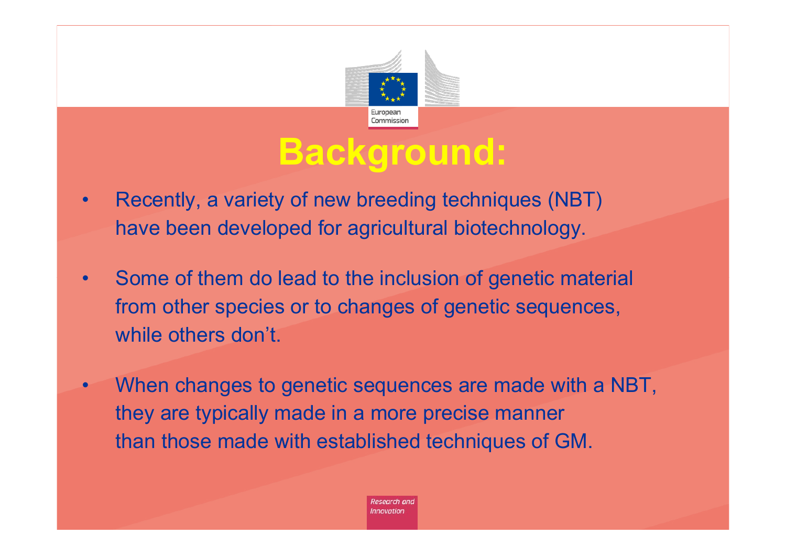

# **Background:**

- • Recently, a variety of new breeding techniques (NBT) have been developed for agricultural biotechnology.
- • Some of them do lead to the inclusion of genetic material from other species or to changes of genetic sequences, while others don't.
- • When changes to genetic sequences are made with a NBT, they are typically made in a more precise manner than those made with established techniques of GM.

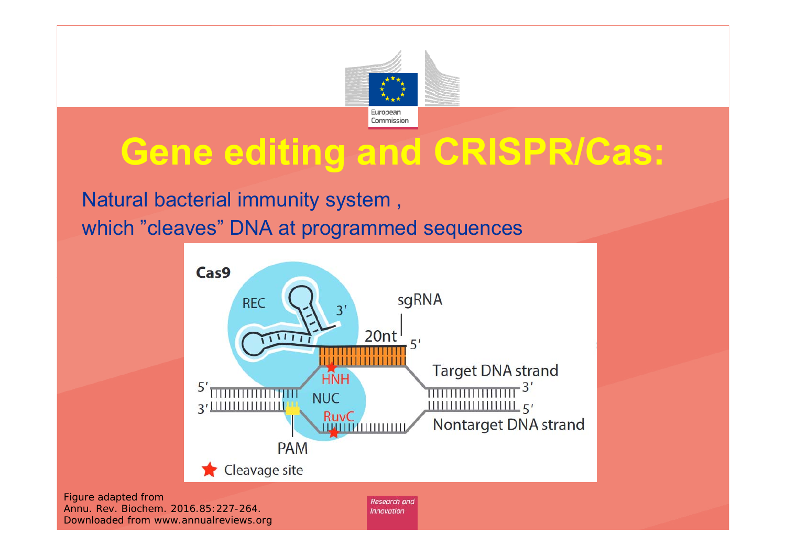

# **Gene editing and CRISPR/Cas:**

Natural bacterial immunity system , which "cleaves" DNA at programmed sequences

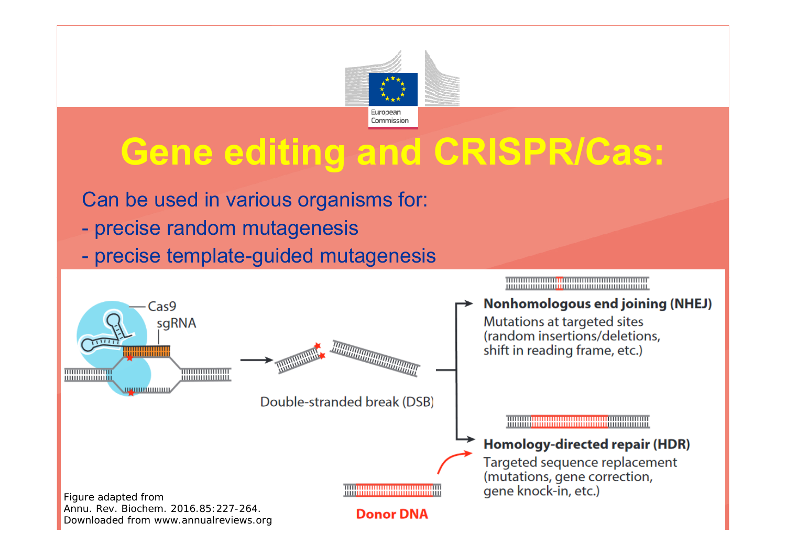

# **Gene editing and CRISPR/Cas:**

Can be used in various organisms for:

- precise random mutagenesis
- precise template-guided mutagenesis

<u> 1999 - 1999 - 1999 - 1999 - 1999 - 1999 - 1999 - 1999 - 1999 - 1999 - 1999 - 1999 - 1999 - 1999 - 1999 - 199</u>

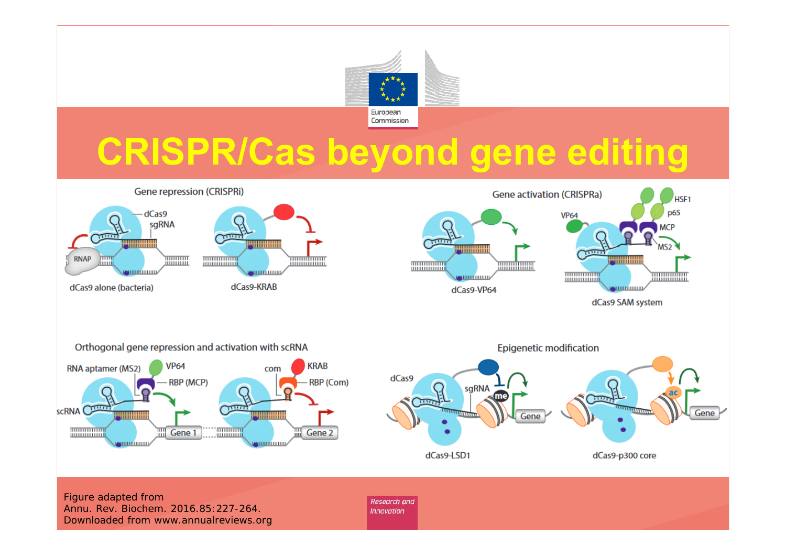

# **CRISPR/Cas beyond gene editing**

**Gene repression (CRISPRi)** 







Figure adapted from Annu. Rev. Biochem. 2016.85:227-264. Downloaded from www.annualreviews.org

Research and

**Innovation**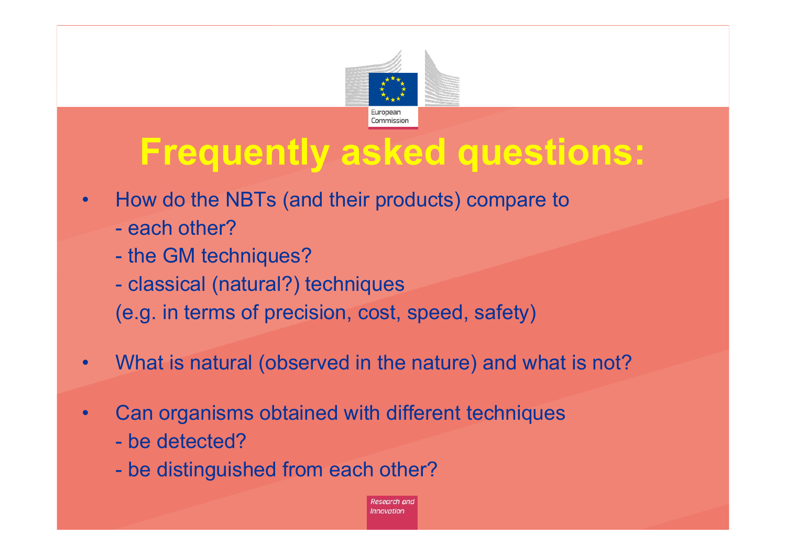

### **Frequently asked questions:**

- • How do the NBTs (and their products) compare to
	- each other?
	- the GM techniques?
	- classical (natural?) techniques
	- (e.g. in terms of precision, cost, speed, safety)
- •What is natural (observed in the nature) and what is not?
- • Can organisms obtained with different techniques
	- be detected?
	- be distinguished from each other?

Research and **Innovation**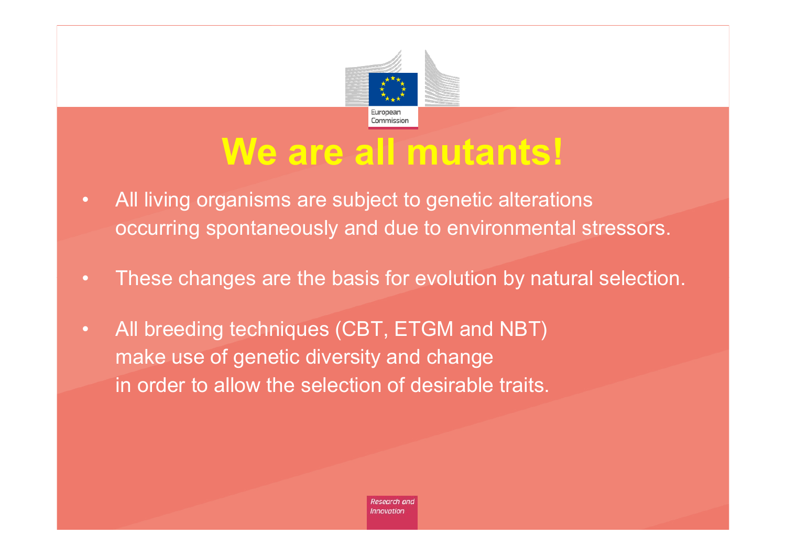

### **We are all mutants!**

- All living organisms are subject to genetic alterations occurring spontaneously and due to environmental stressors.
- These changes are the basis for evolution by natural selection.
- All breeding techniques (CBT, ETGM and NBT) make use of genetic diversity and change in order to allow the selection of desirable traits.

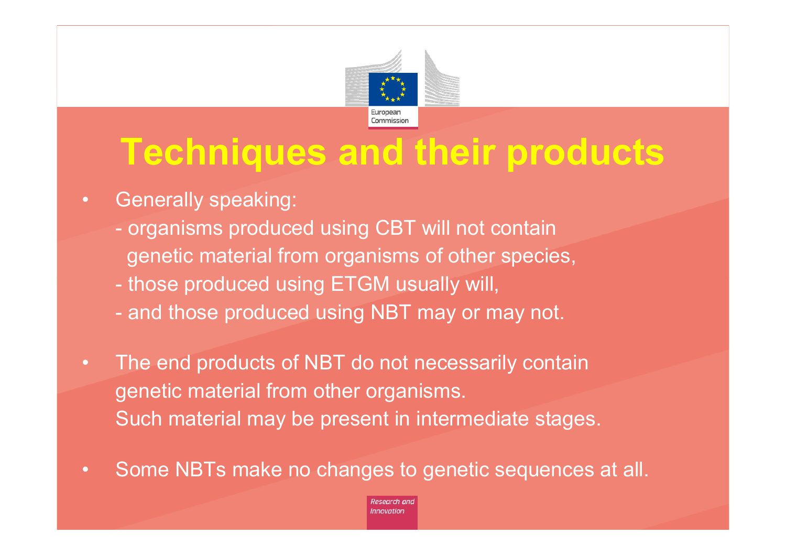

# **Techniques and their products**

- Generally speaking:
	- organisms produced using CBT will not contain genetic material from organisms of other species,
	- those produced using ETGM usually will,
	- and those produced using NBT may or may not.
- The end products of NBT do not necessarily contain genetic material from other organisms. Such material may be present in intermediate stages.
- $\bullet$ Some NBTs make no changes to genetic sequences at all.

Research and **Innovation**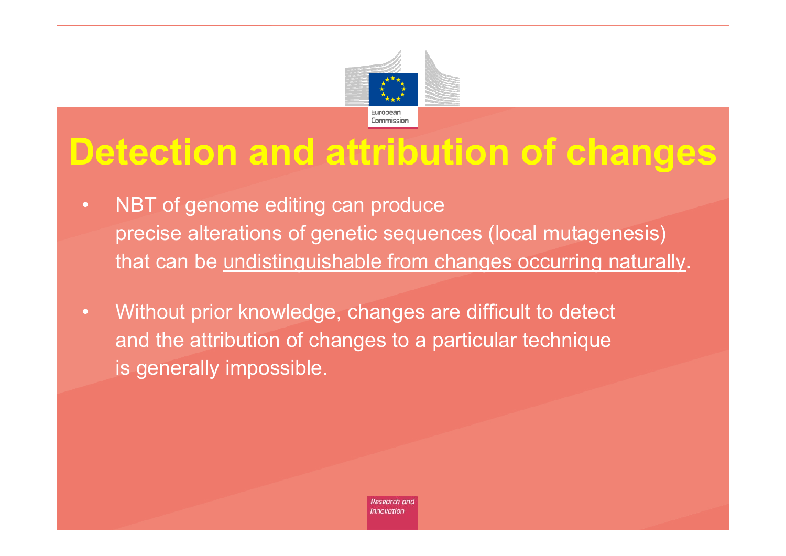

# **Detection and attribution of changes**

- NBT of genome editing can produce precise alterations of genetic sequences (local mutagenesis) that can be undistinguishable from changes occurring naturally.
- Without prior knowledge, changes are difficult to detect and the attribution of changes to a particular technique is generally impossible.

Research and **Innovation**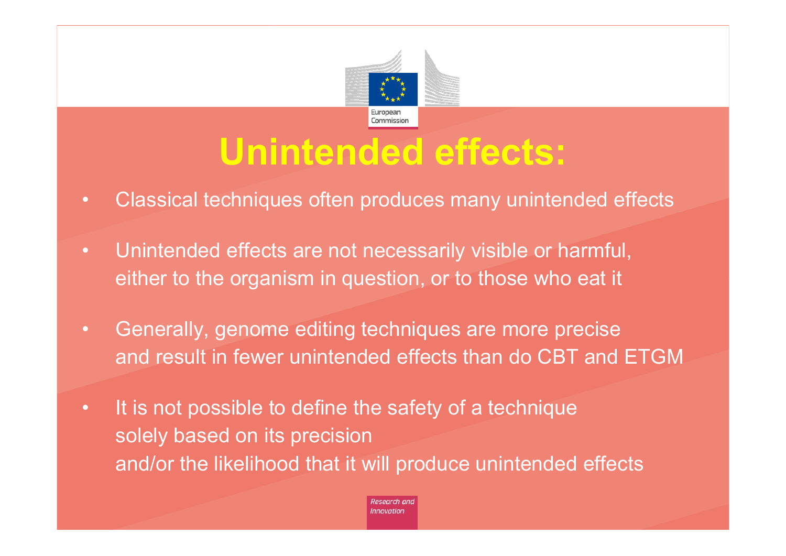

# **Unintended effects:**

- Classical techniques often produces many unintended effects
- Unintended effects are not necessarily visible or harmful, either to the organism in question, or to those who eat it
- Generally, genome editing techniques are more precise and result in fewer unintended effects than do CBT and ETGM
- It is not possible to define the safety of a technique solely based on its precision and/or the likelihood that it will produce unintended effects